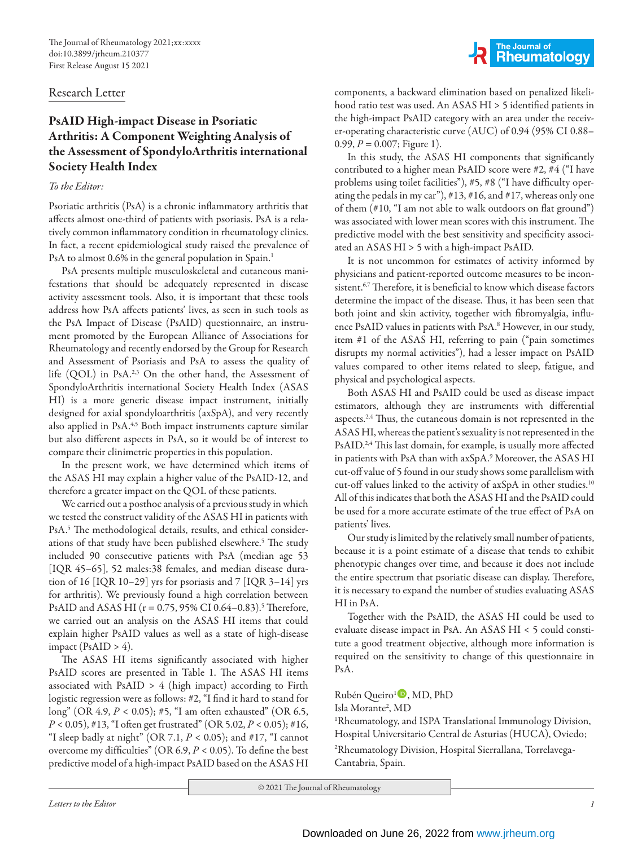## Research Letter

# PsAID High-impact Disease in Psoriatic Arthritis: A Component Weighting Analysis of the Assessment of SpondyloArthritis international Society Health Index

## *To the Editor:*

Psoriatic arthritis (PsA) is a chronic inflammatory arthritis that affects almost one-third of patients with psoriasis. PsA is a relatively common inflammatory condition in rheumatology clinics. In fact, a recent epidemiological study raised the prevalence of PsA to almost 0.6% in the general population in Spain.<sup>1</sup>

PsA presents multiple musculoskeletal and cutaneous manifestations that should be adequately represented in disease activity assessment tools. Also, it is important that these tools address how PsA affects patients' lives, as seen in such tools as the PsA Impact of Disease (PsAID) questionnaire, an instrument promoted by the European Alliance of Associations for Rheumatology and recently endorsed by the Group for Research and Assessment of Psoriasis and PsA to assess the quality of life (QOL) in PsA.<sup>2,3</sup> On the other hand, the Assessment of SpondyloArthritis international Society Health Index (ASAS HI) is a more generic disease impact instrument, initially designed for axial spondyloarthritis (axSpA), and very recently also applied in PsA.<sup>4,5</sup> Both impact instruments capture similar but also different aspects in PsA, so it would be of interest to compare their clinimetric properties in this population.

In the present work, we have determined which items of the ASAS HI may explain a higher value of the PsAID-12, and therefore a greater impact on the QOL of these patients.

We carried out a posthoc analysis of a previous study in which we tested the construct validity of the ASAS HI in patients with PsA.<sup>5</sup> The methodological details, results, and ethical considerations of that study have been published elsewhere.<sup>5</sup> The study included 90 consecutive patients with PsA (median age 53 [IQR 45-65], 52 males:38 females, and median disease duration of 16 [IQR 10–29] yrs for psoriasis and 7 [IQR 3–14] yrs for arthritis). We previously found a high correlation between PsAID and ASAS HI (r = 0.75, 95% CI 0.64–0.83).<sup>5</sup> Therefore, we carried out an analysis on the ASAS HI items that could explain higher PsAID values as well as a state of high-disease impact (PsAID  $> 4$ ).

The ASAS HI items significantly associated with higher PsAID scores are presented in Table 1. The ASAS HI items associated with  $PsAID > 4$  (high impact) according to Firth logistic regression were as follows: #2, "I find it hard to stand for long" (OR 4.9, *P* < 0.05); #5, "I am often exhausted" (OR 6.5, *P* < 0.05), #13, "I often get frustrated" (OR 5.02, *P* < 0.05); #16, "I sleep badly at night" (OR 7.1,  $P < 0.05$ ); and #17, "I cannot overcome my difficulties" (OR 6.9, *P* < 0.05). To define the best predictive model of a high-impact PsAID based on the ASAS HI

The Journal of<br>
Rheumatology

components, a backward elimination based on penalized likelihood ratio test was used. An ASAS HI > 5 identified patients in the high-impact PsAID category with an area under the receiver-operating characteristic curve (AUC) of 0.94 (95% CI 0.88– 0.99, *P* = 0.007; Figure 1).

In this study, the ASAS HI components that significantly contributed to a higher mean PsAID score were #2, #4 ("I have problems using toilet facilities"), #5, #8 ("I have difficulty operating the pedals in my car"), #13, #16, and #17, whereas only one of them (#10, "I am not able to walk outdoors on flat ground") was associated with lower mean scores with this instrument. The predictive model with the best sensitivity and specificity associated an ASAS HI > 5 with a high-impact PsAID.

It is not uncommon for estimates of activity informed by physicians and patient-reported outcome measures to be inconsistent.<sup>6,7</sup> Therefore, it is beneficial to know which disease factors determine the impact of the disease. Thus, it has been seen that both joint and skin activity, together with fibromyalgia, influence PsAID values in patients with PsA.<sup>8</sup> However, in our study, item #1 of the ASAS HI, referring to pain ("pain sometimes disrupts my normal activities"), had a lesser impact on PsAID values compared to other items related to sleep, fatigue, and physical and psychological aspects.

Both ASAS HI and PsAID could be used as disease impact estimators, although they are instruments with differential aspects. $2.4$ <sup>4</sup> Thus, the cutaneous domain is not represented in the ASAS HI, whereas the patient's sexuality is not represented in the PsAID.<sup>2,4</sup> This last domain, for example, is usually more affected in patients with PsA than with axSpA.9 Moreover, the ASAS HI cut-off value of 5 found in our study shows some parallelism with cut-off values linked to the activity of axSpA in other studies.10 All of this indicates that both the ASAS HI and the PsAID could be used for a more accurate estimate of the true effect of PsA on patients' lives.

Our study is limited by the relatively small number of patients, because it is a point estimate of a disease that tends to exhibit phenotypic changes over time, and because it does not include the entire spectrum that psoriatic disease can display. Therefore, it is necessary to expand the number of studies evaluating ASAS HI in PsA.

Together with the PsAID, the ASAS HI could be used to evaluate disease impact in PsA. An ASAS HI < 5 could constitute a good treatment objective, although more information is required on the sensitivity to change of this questionnaire in PsA.

## Rubén Queiro<sup>1</sup><sup>(D</sup>, MD, PhD

### Isla Morante2 , MD

1 Rheumatology, and ISPA Translational Immunology Division, Hospital Universitario Central de Asturias (HUCA), Oviedo; 2 Rheumatology Division, Hospital Sierrallana, Torrelavega-Cantabria, Spain.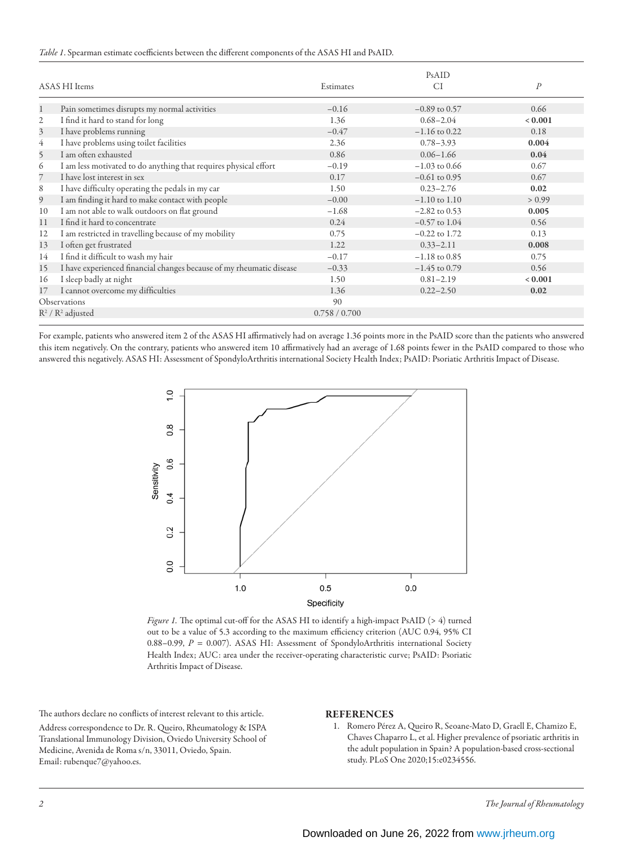### *Table 1*. Spearman estimate coefficients between the different components of the ASAS HI and PsAID.

| ASAS HI Items          |                                                                      | Estimates     | PsAID<br>CI       | $\boldsymbol{P}$ |
|------------------------|----------------------------------------------------------------------|---------------|-------------------|------------------|
| 1                      | Pain sometimes disrupts my normal activities                         | $-0.16$       | $-0.89$ to 0.57   | 0.66             |
| 2                      | I find it hard to stand for long                                     | 1.36          | $0.68 - 2.04$     | 0.001            |
| 3                      | I have problems running                                              | $-0.47$       | $-1.16$ to 0.22   | 0.18             |
| 4                      | I have problems using toilet facilities                              | 2.36          | $0.78 - 3.93$     | 0.004            |
| 5                      | I am often exhausted                                                 | 0.86          | $0.06 - 1.66$     | 0.04             |
| 6                      | I am less motivated to do anything that requires physical effort     | $-0.19$       | $-1.03$ to 0.66   | 0.67             |
| 7                      | I have lost interest in sex                                          | 0.17          | $-0.61$ to 0.95   | 0.67             |
| 8                      | I have difficulty operating the pedals in my car                     | 1.50          | $0.23 - 2.76$     | 0.02             |
| 9                      | I am finding it hard to make contact with people                     | $-0.00$       | $-1.10$ to $1.10$ | > 0.99           |
| 10                     | I am not able to walk outdoors on flat ground                        | $-1.68$       | $-2.82$ to 0.53   | 0.005            |
| 11                     | I find it hard to concentrate                                        | 0.24          | $-0.57$ to $1.04$ | 0.56             |
| 12                     | I am restricted in travelling because of my mobility                 | 0.75          | $-0.22$ to 1.72   | 0.13             |
| 13                     | I often get frustrated                                               | 1.22          | $0.33 - 2.11$     | 0.008            |
| 14                     | I find it difficult to wash my hair                                  | $-0.17$       | $-1.18$ to 0.85   | 0.75             |
| 15                     | I have experienced financial changes because of my rheumatic disease | $-0.33$       | $-1.45$ to 0.79   | 0.56             |
| 16                     | I sleep badly at night                                               | 1.50          | $0.81 - 2.19$     | 0.001            |
| 17                     | I cannot overcome my difficulties                                    | 1.36          | $0.22 - 2.50$     | 0.02             |
| Observations           |                                                                      | 90            |                   |                  |
| $R^2$ / $R^2$ adjusted |                                                                      | 0.758 / 0.700 |                   |                  |

For example, patients who answered item 2 of the ASAS HI affirmatively had on average 1.36 points more in the PsAID score than the patients who answered this item negatively. On the contrary, patients who answered item 10 affirmatively had an average of 1.68 points fewer in the PsAID compared to those who answered this negatively. ASAS HI: Assessment of SpondyloArthritis international Society Health Index; PsAID: Psoriatic Arthritis Impact of Disease.



*Figure 1.* The optimal cut-off for the ASAS HI to identify a high-impact PsAID (> 4) turned out to be a value of 5.3 according to the maximum efficiency criterion (AUC 0.94, 95% CI 0.88–0.99, *P* = 0.007). ASAS HI: Assessment of SpondyloArthritis international Society Health Index; AUC: area under the receiver-operating characteristic curve; PsAID: Psoriatic Arthritis Impact of Disease.

The authors declare no conflicts of interest relevant to this article.

Address correspondence to Dr. R. Queiro, Rheumatology & ISPA Translational Immunology Division, Oviedo University School of Medicine, Avenida de Roma s/n, 33011, Oviedo, Spain. Email: rubenque7@yahoo.es.

#### REFERENCES

1. Romero Pérez A, Queiro R, Seoane-Mato D, Graell E, Chamizo E, Chaves Chaparro L, et al. Higher prevalence of psoriatic arthritis in the adult population in Spain? A population-based cross-sectional study. PLoS One 2020;15:e0234556.